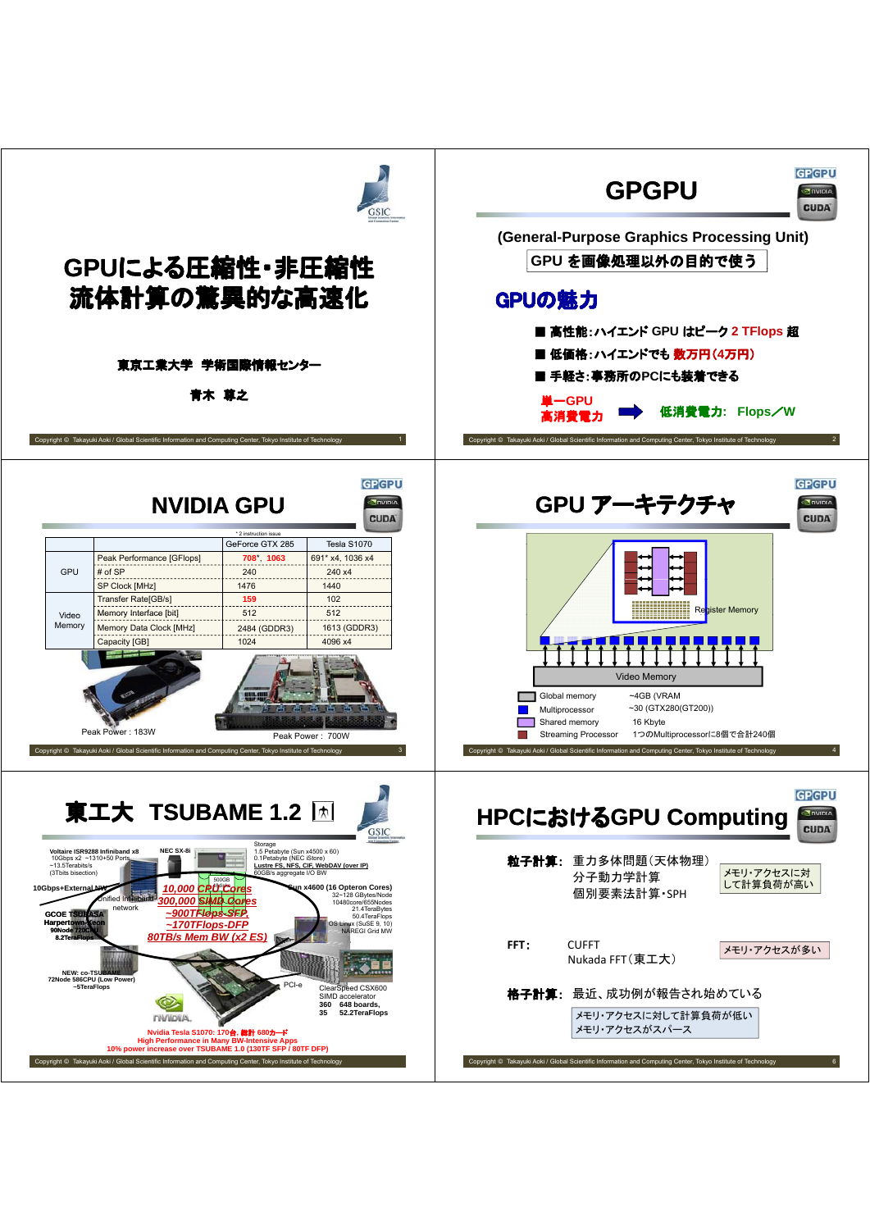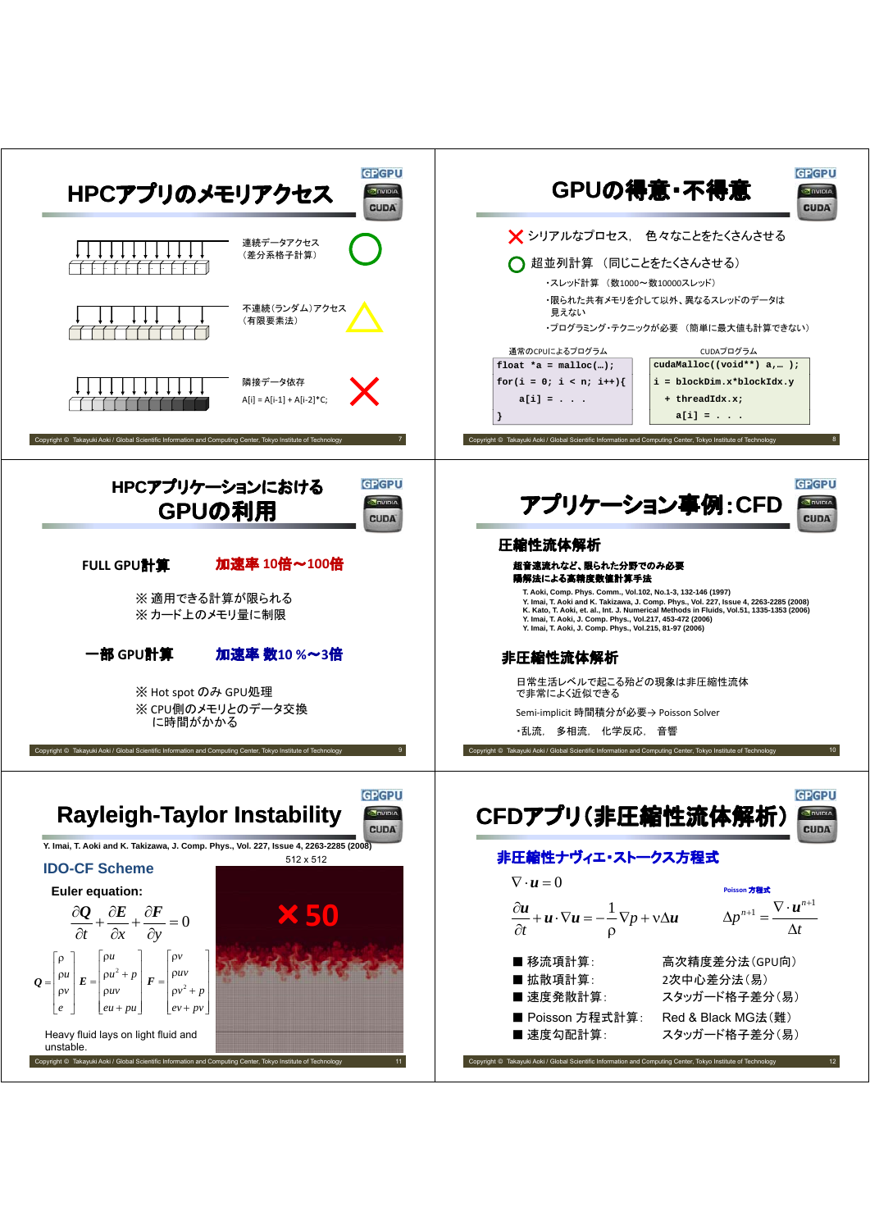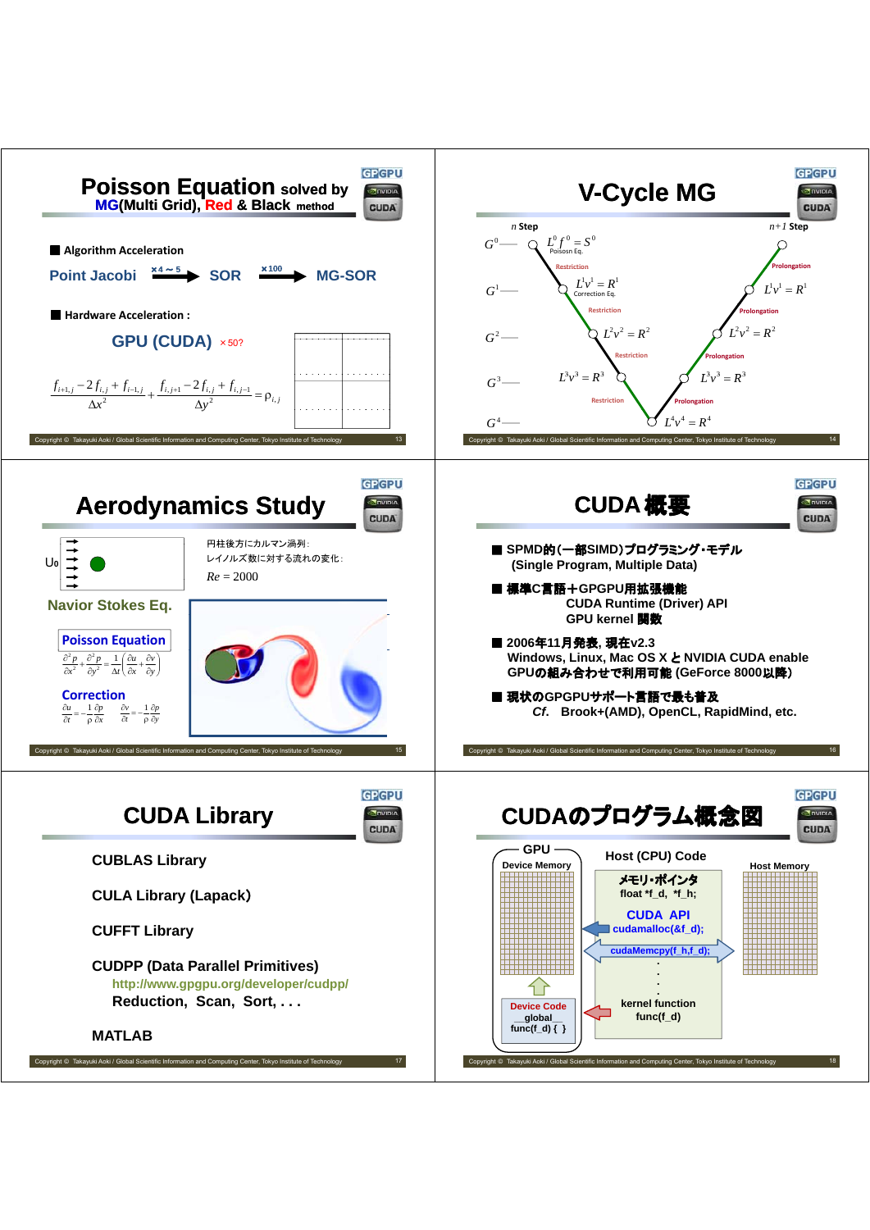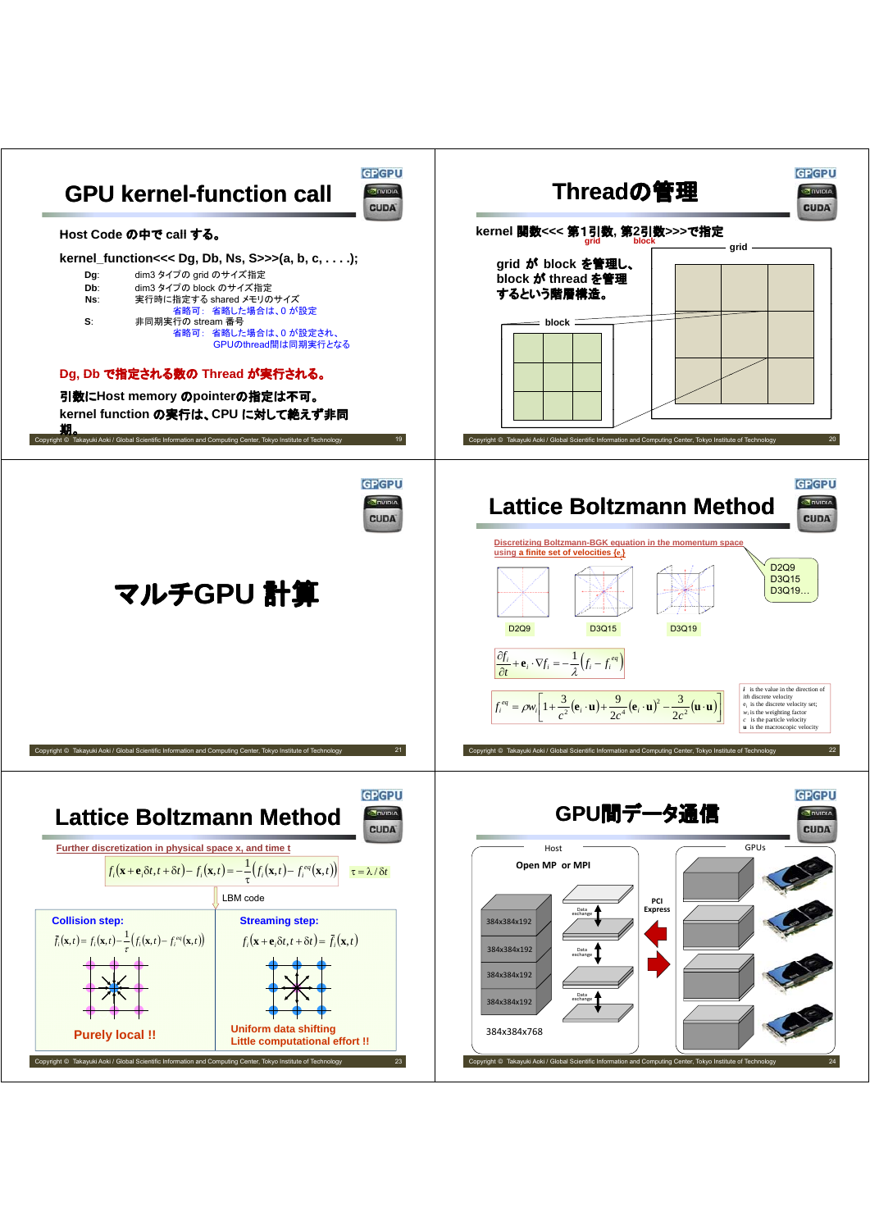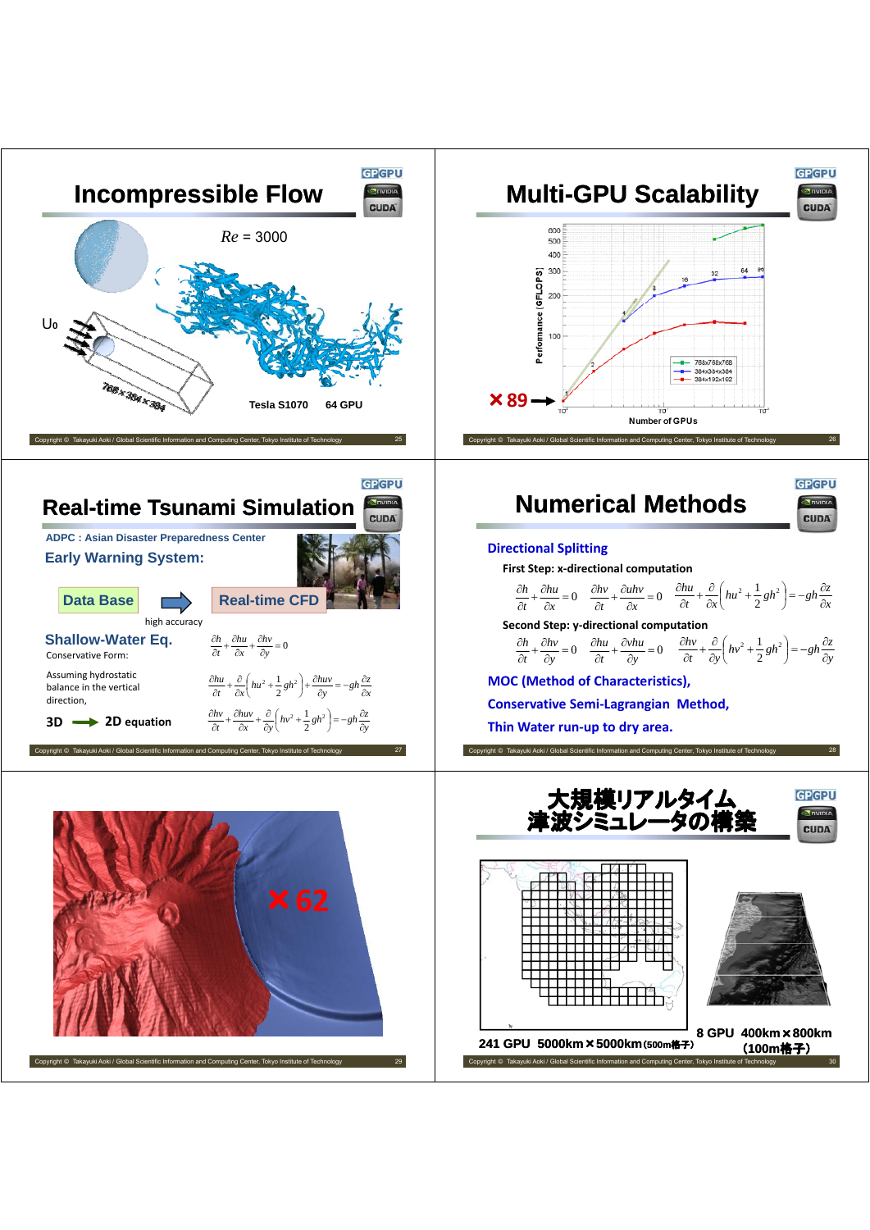

Copyright © Takayuki Aoki / Global Scientific Information and Computing Center, Tokyo Institute of Technology

**<sup>8</sup> GPU 400km**×**800km** Convright © Takayuki Aoki / Global Scientific Information and Com (**100m**格子) **241 GPU 5000km**×**5000km**(**500m**格子)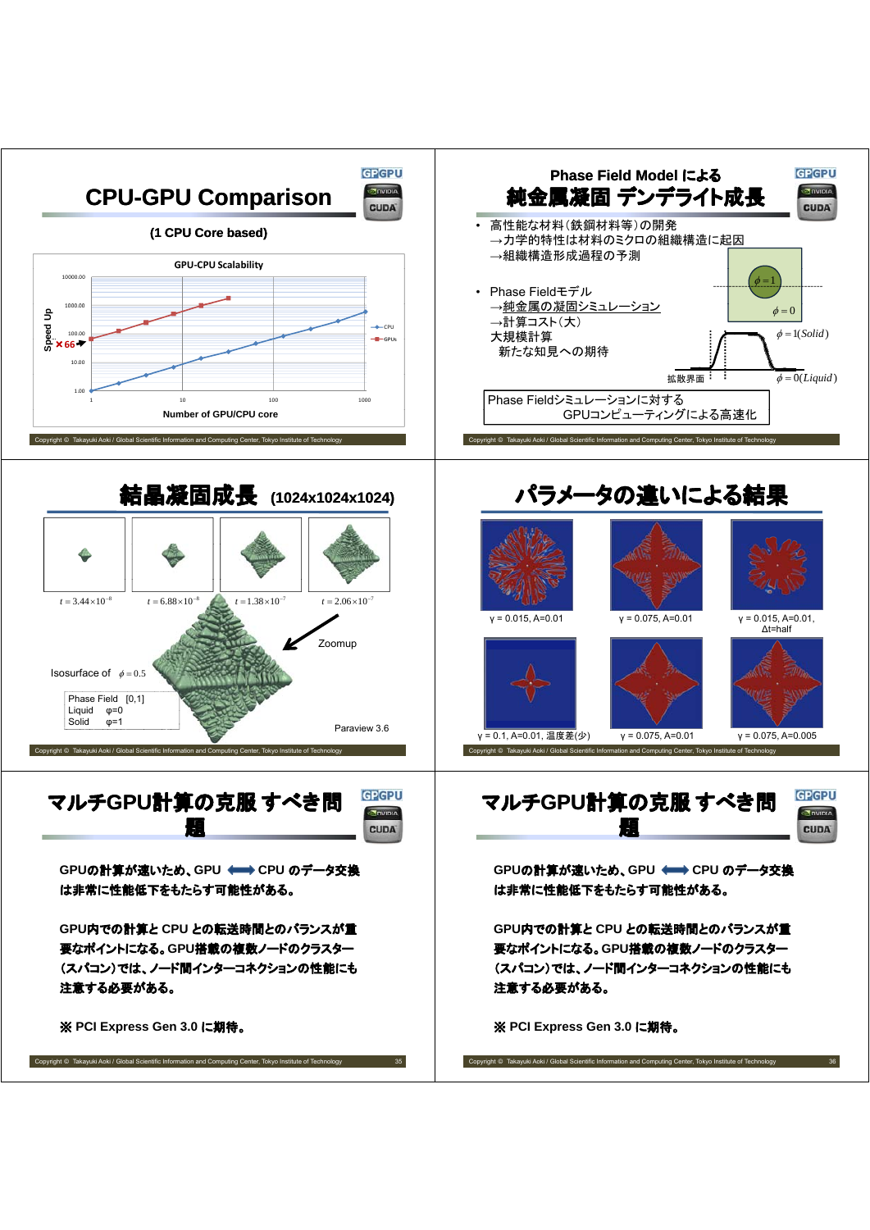